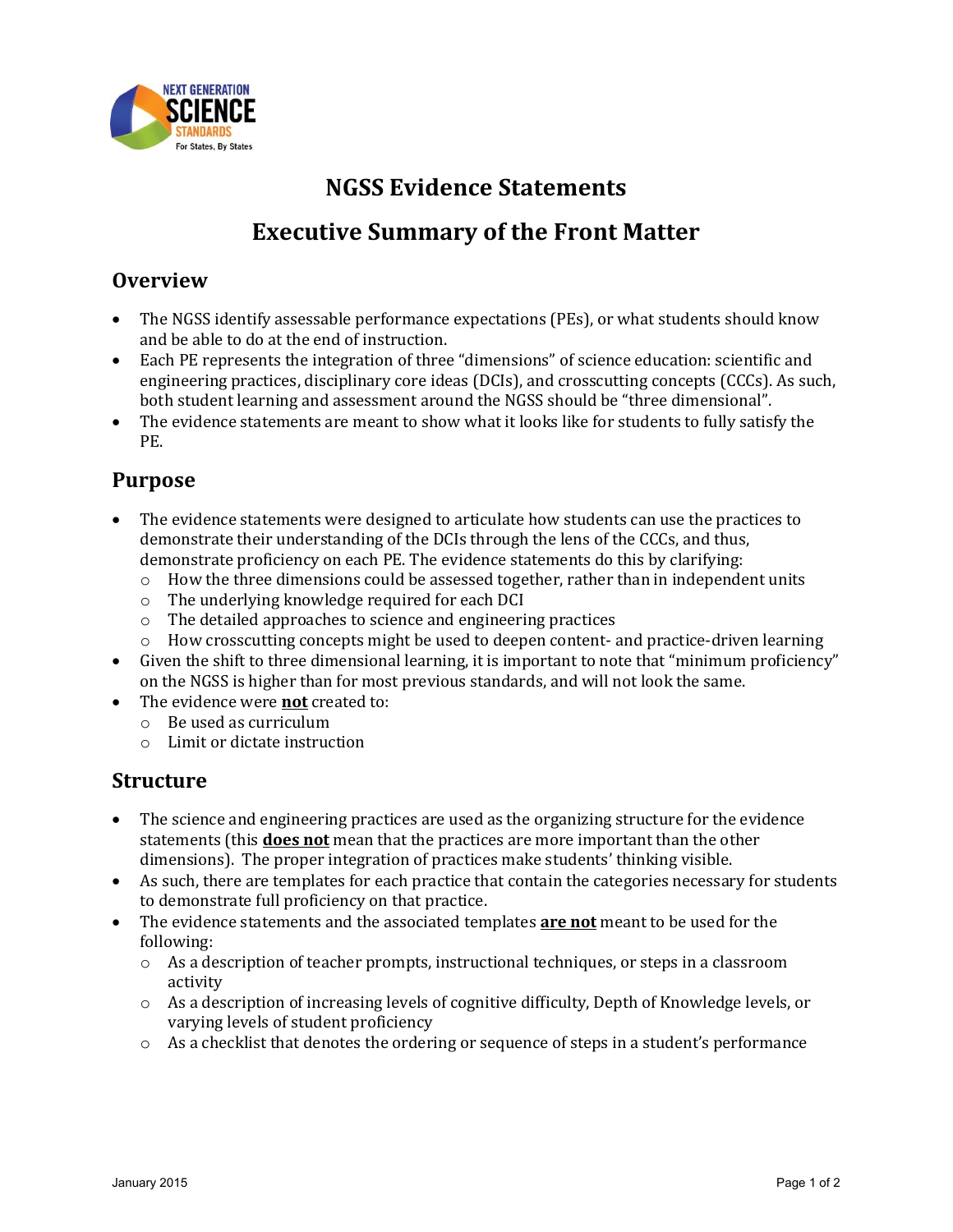

# **NGSS Evidence Statements Executive Summary of the Front Matter**

## **Overview**

- The NGSS identify assessable performance expectations (PEs), or what students should know and be able to do at the end of instruction.
- Each PE represents the integration of three "dimensions" of science education: scientific and engineering practices, disciplinary core ideas (DCIs), and crosscutting concepts (CCCs). As such, both student learning and assessment around the NGSS should be "three dimensional".
- The evidence statements are meant to show what it looks like for students to fully satisfy the PE.

## **Purpose**

- The evidence statements were designed to articulate how students can use the practices to demonstrate their understanding of the DCIs through the lens of the CCCs, and thus, demonstrate proficiency on each PE. The evidence statements do this by clarifying:
	- $\circ$  How the three dimensions could be assessed together, rather than in independent units
	- o The underlying knowledge required for each DCI
	- o The detailed approaches to science and engineering practices
	- $\circ$  How crosscutting concepts might be used to deepen content- and practice-driven learning
- Given the shift to three dimensional learning, it is important to note that "minimum proficiency" on the NGSS is higher than for most previous standards, and will not look the same.
- The evidence were **not** created to:
	- o Be used as curriculum
	- o Limit or dictate instruction

#### **Structure**

- The science and engineering practices are used as the organizing structure for the evidence statements (this **does not** mean that the practices are more important than the other dimensions). The proper integration of practices make students' thinking visible.
- As such, there are templates for each practice that contain the categories necessary for students to demonstrate full proficiency on that practice.
- The evidence statements and the associated templates **are not** meant to be used for the following:
	- o As a description of teacher prompts, instructional techniques, or steps in a classroom activity
	- $\circ$  As a description of increasing levels of cognitive difficulty, Depth of Knowledge levels, or varying levels of student proficiency
	- $\circ$  As a checklist that denotes the ordering or sequence of steps in a student's performance